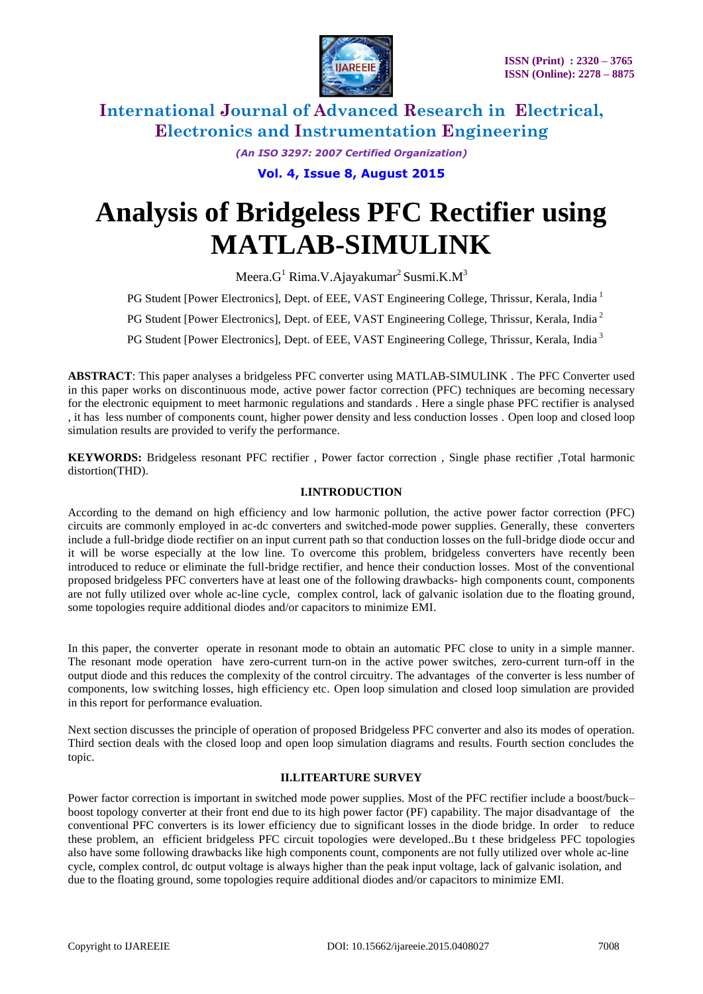

*(An ISO 3297: 2007 Certified Organization)*

**Vol. 4, Issue 8, August 2015**

# **Analysis of Bridgeless PFC Rectifier using MATLAB-SIMULINK**

Meera. $G^1$  Rima.V.Ajayakumar<sup>2</sup> Susmi.K.M<sup>3</sup>

PG Student [Power Electronics], Dept. of EEE, VAST Engineering College, Thrissur, Kerala, India<sup>1</sup>

**PG Student [Power Electronics], Dept. of EEE, VAST Engineering College, Thrissur, Kerala, India<sup>2</sup>** 

PG Student [Power Electronics], Dept. of EEE, VAST Engineering College, Thrissur, Kerala, India<sup>3</sup>

**ABSTRACT**: This paper analyses a bridgeless PFC converter using MATLAB-SIMULINK . The PFC Converter used in this paper works on discontinuous mode, active power factor correction (PFC) techniques are becoming necessary for the electronic equipment to meet harmonic regulations and standards . Here a single phase PFC rectifier is analysed , it has less number of components count, higher power density and less conduction losses . Open loop and closed loop simulation results are provided to verify the performance.

**KEYWORDS:** Bridgeless resonant PFC rectifier , Power factor correction , Single phase rectifier ,Total harmonic distortion(THD).

#### **I.INTRODUCTION**

According to the demand on high efficiency and low harmonic pollution, the active power factor correction (PFC) circuits are commonly employed in ac-dc converters and switched-mode power supplies. Generally, these converters include a full-bridge diode rectifier on an input current path so that conduction losses on the full-bridge diode occur and it will be worse especially at the low line. To overcome this problem, bridgeless converters have recently been introduced to reduce or eliminate the full-bridge rectifier, and hence their conduction losses. Most of the conventional proposed bridgeless PFC converters have at least one of the following drawbacks- high components count, components are not fully utilized over whole ac-line cycle, complex control, lack of galvanic isolation due to the floating ground, some topologies require additional diodes and/or capacitors to minimize EMI.

In this paper, the converter operate in resonant mode to obtain an automatic PFC close to unity in a simple manner. The resonant mode operation have zero-current turn-on in the active power switches, zero-current turn-off in the output diode and this reduces the complexity of the control circuitry. The advantages of the converter is less number of components, low switching losses, high efficiency etc. Open loop simulation and closed loop simulation are provided in this report for performance evaluation.

Next section discusses the principle of operation of proposed Bridgeless PFC converter and also its modes of operation. Third section deals with the closed loop and open loop simulation diagrams and results. Fourth section concludes the topic.

#### **II.LITEARTURE SURVEY**

Power factor correction is important in switched mode power supplies. Most of the PFC rectifier include a boost/buck– boost topology converter at their front end due to its high power factor (PF) capability. The major disadvantage of the conventional PFC converters is its lower efficiency due to significant losses in the diode bridge. In order to reduce these problem, an efficient bridgeless PFC circuit topologies were developed..Bu t these bridgeless PFC topologies also have some following drawbacks like high components count, components are not fully utilized over whole ac-line cycle, complex control, dc output voltage is always higher than the peak input voltage, lack of galvanic isolation, and due to the floating ground, some topologies require additional diodes and/or capacitors to minimize EMI.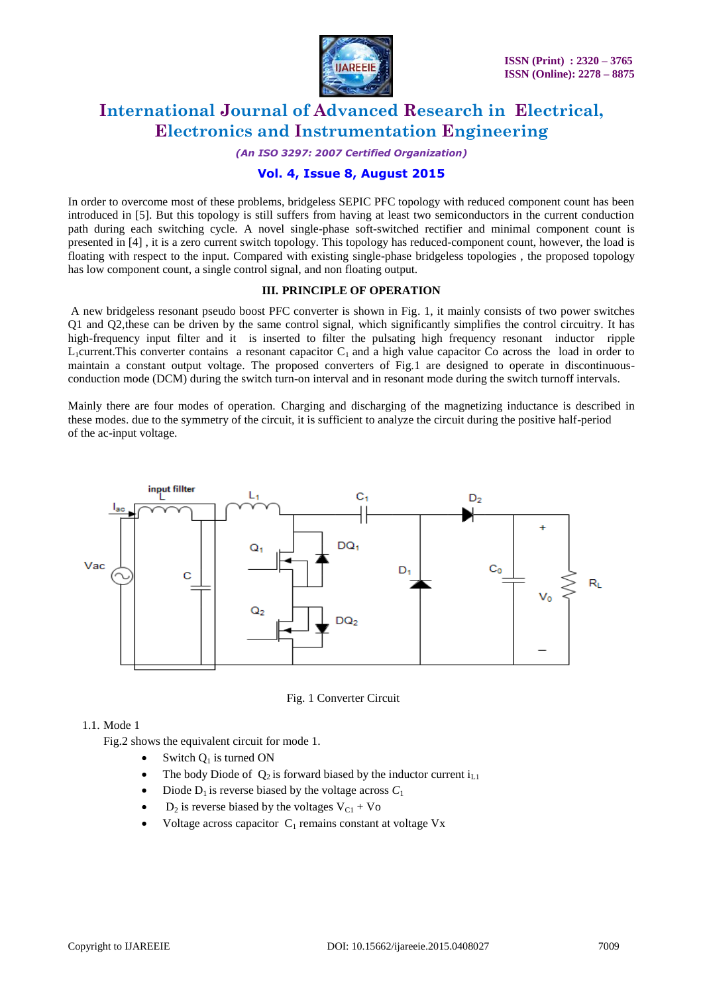

*(An ISO 3297: 2007 Certified Organization)*

### **Vol. 4, Issue 8, August 2015**

In order to overcome most of these problems, bridgeless SEPIC PFC topology with reduced component count has been introduced in [5]. But this topology is still suffers from having at least two semiconductors in the current conduction path during each switching cycle. A novel single-phase soft-switched rectifier and minimal component count is presented in [4] , it is a zero current switch topology. This topology has reduced-component count, however, the load is floating with respect to the input. Compared with existing single-phase bridgeless topologies , the proposed topology has low component count, a single control signal, and non floating output.

#### **III. PRINCIPLE OF OPERATION**

A new bridgeless resonant pseudo boost PFC converter is shown in Fig. 1, it mainly consists of two power switches Q1 and Q2,these can be driven by the same control signal, which significantly simplifies the control circuitry. It has high-frequency input filter and it is inserted to filter the pulsating high frequency resonant inductor ripple  $L_1$ current.This converter contains a resonant capacitor  $C_1$  and a high value capacitor Co across the load in order to maintain a constant output voltage. The proposed converters of Fig.1 are designed to operate in discontinuousconduction mode (DCM) during the switch turn-on interval and in resonant mode during the switch turnoff intervals.

Mainly there are four modes of operation. Charging and discharging of the magnetizing inductance is described in these modes. due to the symmetry of the circuit, it is sufficient to analyze the circuit during the positive half-period of the ac-input voltage.



Fig. 1 Converter Circuit

#### 1.1. Mode 1

Fig.2 shows the equivalent circuit for mode 1.

- $\bullet$  Switch  $O_1$  is turned ON
- The body Diode of  $Q_2$  is forward biased by the inductor current  $i_{L1}$
- Diode  $D_1$  is reverse biased by the voltage across  $C_1$
- $D_2$  is reverse biased by the voltages  $V_{C1} + V_0$
- Voltage across capacitor  $C_1$  remains constant at voltage Vx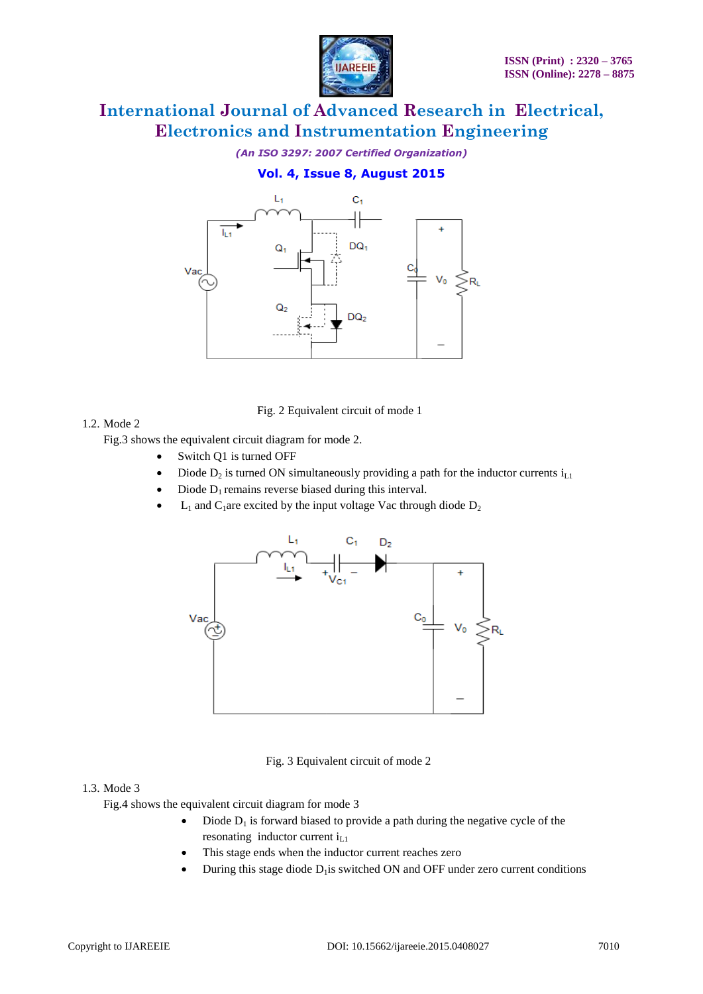

*(An ISO 3297: 2007 Certified Organization)*

### **Vol. 4, Issue 8, August 2015**



Fig. 2 Equivalent circuit of mode 1

#### 1.2. Mode 2

Fig.3 shows the equivalent circuit diagram for mode 2.

- Switch Q1 is turned OFF
- Diode  $D_2$  is turned ON simultaneously providing a path for the inductor currents  $i_{L1}$
- Diode  $D_1$  remains reverse biased during this interval.
- $L_1$  and  $C_1$ are excited by the input voltage Vac through diode  $D_2$



#### Fig. 3 Equivalent circuit of mode 2

#### 1.3. Mode 3

Fig.4 shows the equivalent circuit diagram for mode 3

- $\bullet$  Diode  $D_1$  is forward biased to provide a path during the negative cycle of the resonating inductor current  $i_{L1}$
- This stage ends when the inductor current reaches zero
- $\bullet$  During this stage diode  $D_1$  is switched ON and OFF under zero current conditions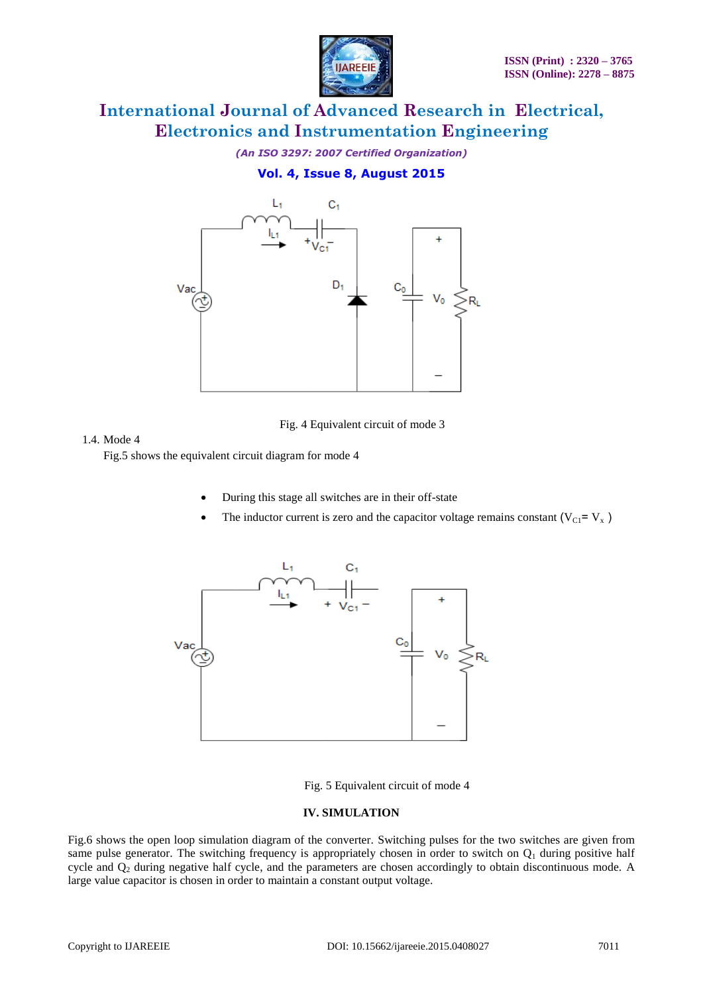

*(An ISO 3297: 2007 Certified Organization)* **Vol. 4, Issue 8, August 2015**



Fig. 4 Equivalent circuit of mode 3

#### 1.4. Mode 4

Fig.5 shows the equivalent circuit diagram for mode 4

- During this stage all switches are in their off-state
- The inductor current is zero and the capacitor voltage remains constant ( $V_{C1} = V_x$ )



Fig. 5 Equivalent circuit of mode 4

#### **IV. SIMULATION**

Fig.6 shows the open loop simulation diagram of the converter. Switching pulses for the two switches are given from same pulse generator. The switching frequency is appropriately chosen in order to switch on  $Q_1$  during positive half cycle and  $Q_2$  during negative half cycle, and the parameters are chosen accordingly to obtain discontinuous mode. A large value capacitor is chosen in order to maintain a constant output voltage.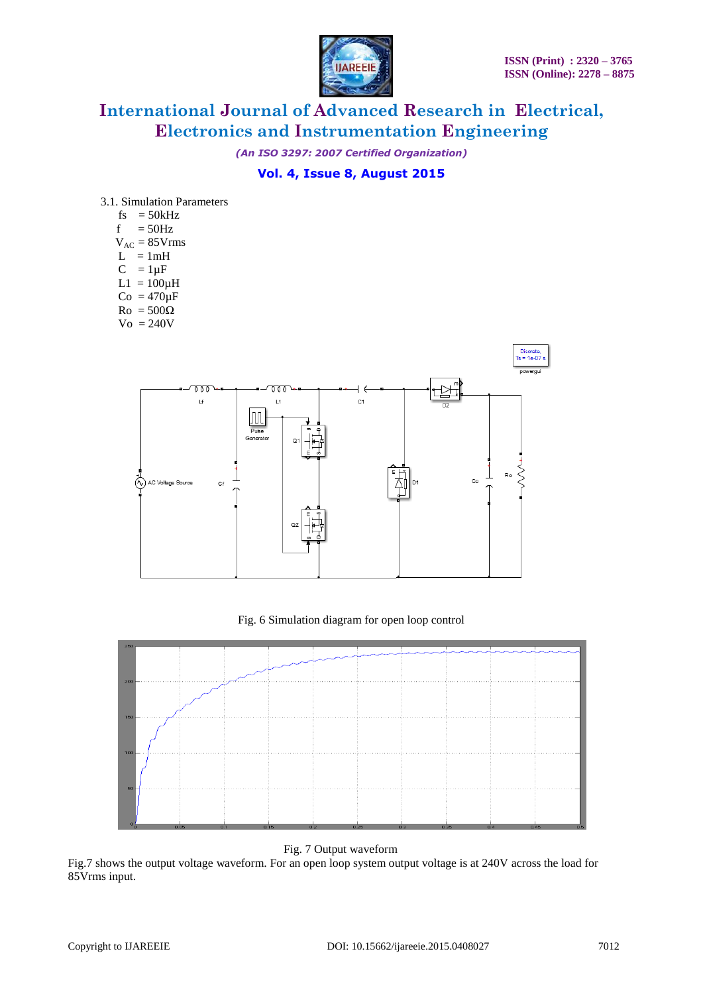

*(An ISO 3297: 2007 Certified Organization)*

### **Vol. 4, Issue 8, August 2015**

- 3.1. Simulation Parameters
	- fs  $= 50kHz$
	- $f = 50$ Hz
	- $V_{AC} = 85 V$ rms
	- $L = 1mH$
	- $C = 1 \mu F$
	- $L1 = 100\mu H$
	- $Co = 470 \mu F$
	- $Ro = 500\Omega$
	- $\mathrm{Vo} = 240\mathrm{V}$



#### Fig. 6 Simulation diagram for open loop control



Fig. 7 Output waveform

Fig.7 shows the output voltage waveform. For an open loop system output voltage is at 240V across the load for 85Vrms input.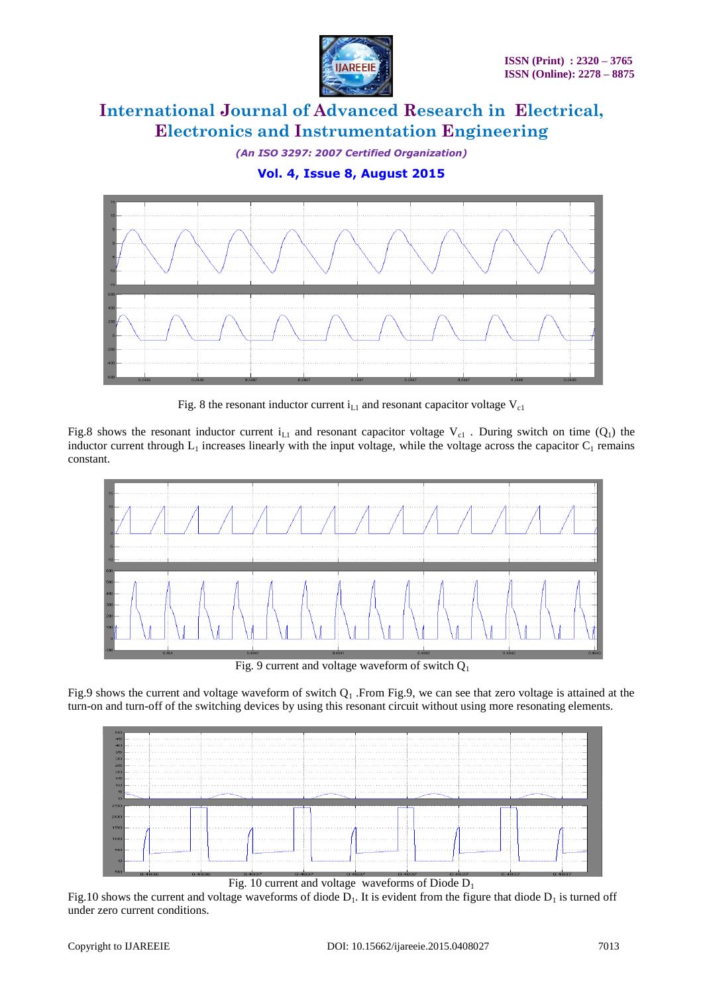

*(An ISO 3297: 2007 Certified Organization)*

**Vol. 4, Issue 8, August 2015**



Fig. 8 the resonant inductor current  $i_{L1}$  and resonant capacitor voltage  $V_{c1}$ 

Fig.8 shows the resonant inductor current i<sub>L1</sub> and resonant capacitor voltage  $V_{c1}$ . During switch on time (Q<sub>1</sub>) the inductor current through  $L_1$  increases linearly with the input voltage, while the voltage across the capacitor  $C_1$  remains constant.



Fig. 9 current and voltage waveform of switch  $Q_1$ 

Fig.9 shows the current and voltage waveform of switch  $Q_1$ . From Fig.9, we can see that zero voltage is attained at the turn-on and turn-off of the switching devices by using this resonant circuit without using more resonating elements.



Fig. 10 current and voltage waveforms of Diode  $D_1$ 

Fig.10 shows the current and voltage waveforms of diode  $D_1$ . It is evident from the figure that diode  $D_1$  is turned off under zero current conditions.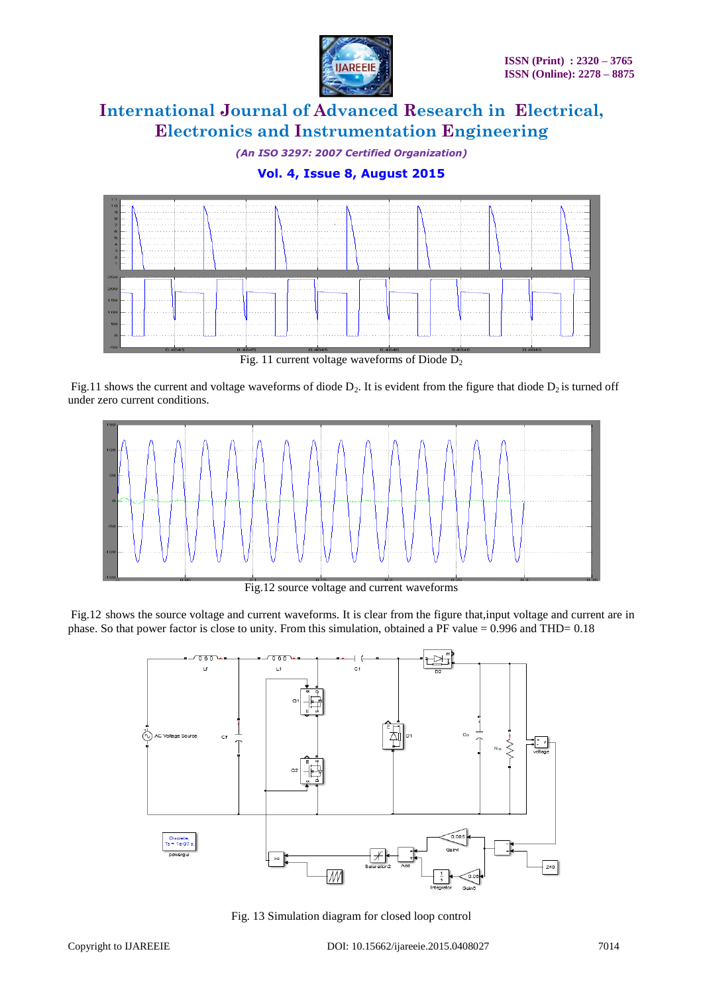

*(An ISO 3297: 2007 Certified Organization)*

### **Vol. 4, Issue 8, August 2015**



Fig.11 shows the current and voltage waveforms of diode  $D_2$ . It is evident from the figure that diode  $D_2$  is turned off under zero current conditions.



Fig.12 source voltage and current waveforms

Fig.12 shows the source voltage and current waveforms. It is clear from the figure that,input voltage and current are in phase. So that power factor is close to unity. From this simulation, obtained a PF value  $= 0.996$  and THD= 0.18



Fig. 13 Simulation diagram for closed loop control